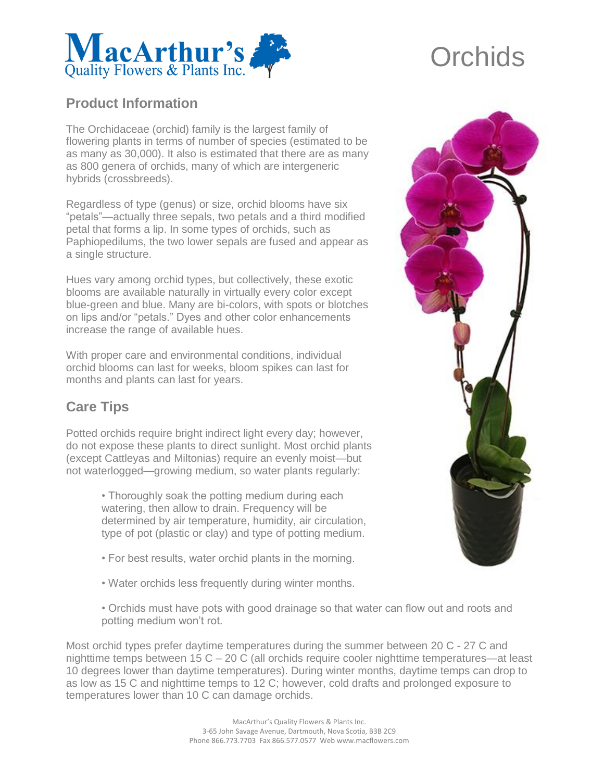

## **Product Information**

The Orchidaceae (orchid) family is the largest family of flowering plants in terms of number of species (estimated to be as many as 30,000). It also is estimated that there are as many as 800 genera of orchids, many of which are intergeneric hybrids (crossbreeds).

Regardless of type (genus) or size, orchid blooms have six "petals"—actually three sepals, two petals and a third modified petal that forms a lip. In some types of orchids, such as Paphiopedilums, the two lower sepals are fused and appear as a single structure.

Hues vary among orchid types, but collectively, these exotic blooms are available naturally in virtually every color except blue-green and blue. Many are bi-colors, with spots or blotches on lips and/or "petals." Dyes and other color enhancements increase the range of available hues.

With proper care and environmental conditions, individual orchid blooms can last for weeks, bloom spikes can last for months and plants can last for years.

## **Care Tips**

Potted orchids require bright indirect light every day; however, do not expose these plants to direct sunlight. Most orchid plants (except Cattleyas and Miltonias) require an evenly moist—but not waterlogged—growing medium, so water plants regularly:

> • Thoroughly soak the potting medium during each watering, then allow to drain. Frequency will be determined by air temperature, humidity, air circulation, type of pot (plastic or clay) and type of potting medium.

- For best results, water orchid plants in the morning.
- Water orchids less frequently during winter months.
- Orchids must have pots with good drainage so that water can flow out and roots and potting medium won't rot.

Most orchid types prefer daytime temperatures during the summer between 20 C - 27 C and nighttime temps between 15 C – 20 C (all orchids require cooler nighttime temperatures—at least 10 degrees lower than daytime temperatures). During winter months, daytime temps can drop to as low as 15 C and nighttime temps to 12 C; however, cold drafts and prolonged exposure to temperatures lower than 10 C can damage orchids.



## **Orchids**